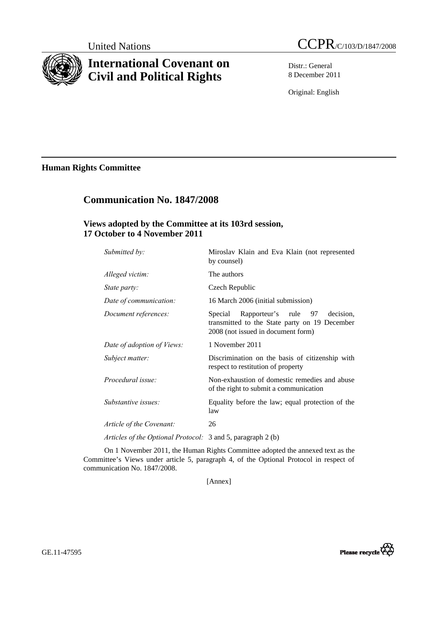

# **International Covenant on Civil and Political Rights**

Distr.: General 8 December 2011

Original: English

**Human Rights Committee** 

# **Communication No. 1847/2008**

## **Views adopted by the Committee at its 103rd session, 17 October to 4 November 2011**

| Submitted by:              | Miroslav Klain and Eva Klain (not represented<br>by counsel)                                                                        |
|----------------------------|-------------------------------------------------------------------------------------------------------------------------------------|
| Alleged victim:            | The authors                                                                                                                         |
| State party:               | Czech Republic                                                                                                                      |
| Date of communication:     | 16 March 2006 (initial submission)                                                                                                  |
| Document references:       | Rapporteur's rule 97<br>decision.<br>Special<br>transmitted to the State party on 19 December<br>2008 (not issued in document form) |
| Date of adoption of Views: | 1 November 2011                                                                                                                     |
| Subject matter:            | Discrimination on the basis of citizenship with<br>respect to restitution of property                                               |
| Procedural issue:          | Non-exhaustion of domestic remedies and abuse<br>of the right to submit a communication                                             |
| Substantive issues:        | Equality before the law; equal protection of the<br>law                                                                             |
| Article of the Covenant:   | 26                                                                                                                                  |
|                            |                                                                                                                                     |

*Articles of the Optional Protocol:* 3 and 5, paragraph 2 (b)

On 1 November 2011, the Human Rights Committee adopted the annexed text as the Committee's Views under article 5, paragraph 4, of the Optional Protocol in respect of communication No. 1847/2008.

[Annex]

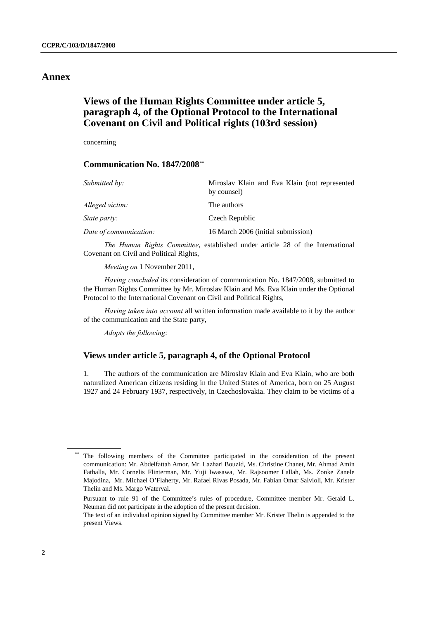### **Annex**

# **Views of the Human Rights Committee under article 5, paragraph 4, of the Optional Protocol to the International Covenant on Civil and Political rights (103rd session)**

concerning

### **Communication No. 1847/2008[\\*\\*](#page-1-0)**

| Submitted by:          | Miroslav Klain and Eva Klain (not represented<br>by counsel) |
|------------------------|--------------------------------------------------------------|
| Alleged victim:        | The authors                                                  |
| State party:           | Czech Republic                                               |
| Date of communication: | 16 March 2006 (initial submission)                           |

*The Human Rights Committee*, established under article 28 of the International Covenant on Civil and Political Rights,

*Meeting on* 1 November 2011,

*Having concluded* its consideration of communication No. 1847/2008, submitted to the Human Rights Committee by Mr. Miroslav Klain and Ms. Eva Klain under the Optional Protocol to the International Covenant on Civil and Political Rights,

*Having taken into account* all written information made available to it by the author of the communication and the State party,

*Adopts the following*:

### **Views under article 5, paragraph 4, of the Optional Protocol**

1. The authors of the communication are Miroslav Klain and Eva Klain, who are both naturalized American citizens residing in the United States of America, born on 25 August 1927 and 24 February 1937, respectively, in Czechoslovakia. They claim to be victims of a

<span id="page-1-0"></span>The following members of the Committee participated in the consideration of the present communication: Mr. Abdelfattah Amor, Mr. Lazhari Bouzid, Ms. Christine Chanet, Mr. Ahmad Amin Fathalla, Mr. Cornelis Flinterman, Mr. Yuji Iwasawa, Mr. Rajsoomer Lallah, Ms. Zonke Zanele Majodina, Mr. Michael O'Flaherty, Mr. Rafael Rivas Posada, Mr. Fabian Omar Salvioli, Mr. Krister Thelin and Ms. Margo Waterval.

Pursuant to rule 91 of the Committee's rules of procedure, Committee member Mr. Gerald L. Neuman did not participate in the adoption of the present decision.

The text of an individual opinion signed by Committee member Mr. Krister Thelin is appended to the present Views.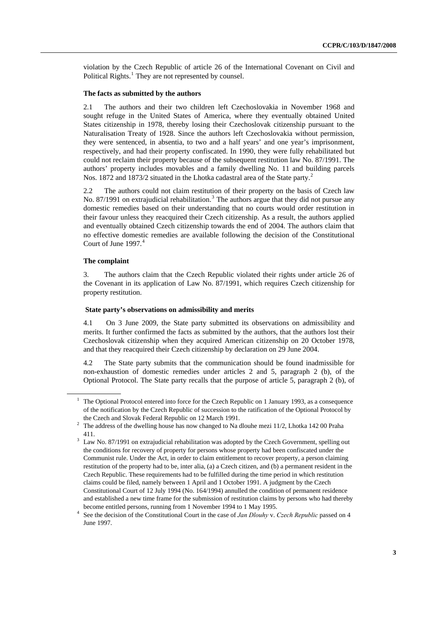violation by the Czech Republic of article 26 of the International Covenant on Civil and Political Rights.<sup>[1](#page-2-0)</sup> They are not represented by counsel.

#### **The facts as submitted by the authors**

2.1 The authors and their two children left Czechoslovakia in November 1968 and sought refuge in the United States of America, where they eventually obtained United States citizenship in 1978, thereby losing their Czechoslovak citizenship pursuant to the Naturalisation Treaty of 1928. Since the authors left Czechoslovakia without permission, they were sentenced, in absentia, to two and a half years' and one year's imprisonment, respectively, and had their property confiscated. In 1990, they were fully rehabilitated but could not reclaim their property because of the subsequent restitution law No. 87/1991. The authors' property includes movables and a family dwelling No. 11 and building parcels Nos. 187[2](#page-2-1) and 1873/2 situated in the Lhotka cadastral area of the State party.<sup>2</sup>

2.2 The authors could not claim restitution of their property on the basis of Czech law No. 87/1991 on extrajudicial rehabilitation.<sup>[3](#page-2-2)</sup> The authors argue that they did not pursue any domestic remedies based on their understanding that no courts would order restitution in their favour unless they reacquired their Czech citizenship. As a result, the authors applied and eventually obtained Czech citizenship towards the end of 2004. The authors claim that no effective domestic remedies are available following the decision of the Constitutional Court of June 1997.<sup>[4](#page-2-3)</sup>

#### **The complaint**

3. The authors claim that the Czech Republic violated their rights under article 26 of the Covenant in its application of Law No. 87/1991, which requires Czech citizenship for property restitution.

#### **State party's observations on admissibility and merits**

4.1 On 3 June 2009, the State party submitted its observations on admissibility and merits. It further confirmed the facts as submitted by the authors, that the authors lost their Czechoslovak citizenship when they acquired American citizenship on 20 October 1978, and that they reacquired their Czech citizenship by declaration on 29 June 2004.

4.2 The State party submits that the communication should be found inadmissible for non-exhaustion of domestic remedies under articles 2 and 5, paragraph 2 (b), of the Optional Protocol. The State party recalls that the purpose of article 5, paragraph 2 (b), of

<span id="page-2-0"></span><sup>1</sup> The Optional Protocol entered into force for the Czech Republic on 1 January 1993, as a consequence of the notification by the Czech Republic of succession to the ratification of the Optional Protocol by the Czech and Slovak Federal Republic on 12 March 1991.

The address of the dwelling house has now changed to Na dlouhe mezi 11/2, Lhotka 142 00 Praha

<span id="page-2-2"></span><span id="page-2-1"></span><sup>411.&</sup>lt;br> $3$  Law No. 87/1991 on extrajudicial rehabilitation was adopted by the Czech Government, spelling out the conditions for recovery of property for persons whose property had been confiscated under the Communist rule. Under the Act, in order to claim entitlement to recover property, a person claiming restitution of the property had to be, inter alia, (a) a Czech citizen, and (b) a permanent resident in the Czech Republic. These requirements had to be fulfilled during the time period in which restitution claims could be filed, namely between 1 April and 1 October 1991. A judgment by the Czech Constitutional Court of 12 July 1994 (No. 164/1994) annulled the condition of permanent residence and established a new time frame for the submission of restitution claims by persons who had thereby become entitled persons, running from 1 November 1994 to 1 May 1995.<br><sup>4</sup> See the decision of the Constitutional Court in the case of *Lan Dlouhyy*.

<span id="page-2-3"></span>See the decision of the Constitutional Court in the case of *Jan Dlouhy* v. *Czech Republic* passed on 4 June 1997.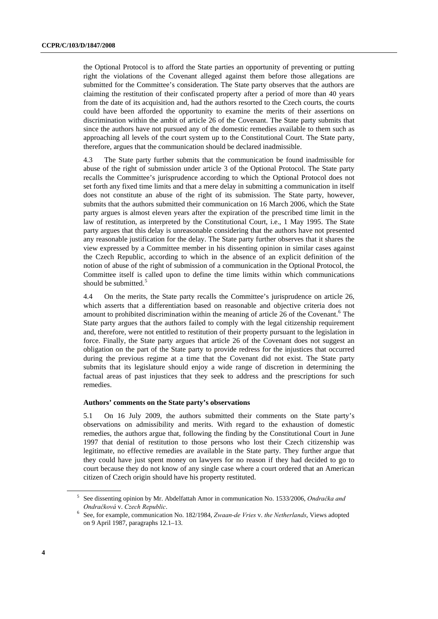the Optional Protocol is to afford the State parties an opportunity of preventing or putting right the violations of the Covenant alleged against them before those allegations are submitted for the Committee's consideration. The State party observes that the authors are claiming the restitution of their confiscated property after a period of more than 40 years from the date of its acquisition and, had the authors resorted to the Czech courts, the courts could have been afforded the opportunity to examine the merits of their assertions on discrimination within the ambit of article 26 of the Covenant. The State party submits that since the authors have not pursued any of the domestic remedies available to them such as approaching all levels of the court system up to the Constitutional Court. The State party, therefore, argues that the communication should be declared inadmissible.

4.3 The State party further submits that the communication be found inadmissible for abuse of the right of submission under article 3 of the Optional Protocol. The State party recalls the Committee's jurisprudence according to which the Optional Protocol does not set forth any fixed time limits and that a mere delay in submitting a communication in itself does not constitute an abuse of the right of its submission. The State party, however, submits that the authors submitted their communication on 16 March 2006, which the State party argues is almost eleven years after the expiration of the prescribed time limit in the law of restitution, as interpreted by the Constitutional Court, i.e., 1 May 1995. The State party argues that this delay is unreasonable considering that the authors have not presented any reasonable justification for the delay. The State party further observes that it shares the view expressed by a Committee member in his dissenting opinion in similar cases against the Czech Republic, according to which in the absence of an explicit definition of the notion of abuse of the right of submission of a communication in the Optional Protocol, the Committee itself is called upon to define the time limits within which communications should be submitted.<sup>[5](#page-3-0)</sup>

4.4 On the merits, the State party recalls the Committee's jurisprudence on article 26, which asserts that a differentiation based on reasonable and objective criteria does not amount to prohibited discrimination within the meaning of article 2[6](#page-3-1) of the Covenant.<sup>6</sup> The State party argues that the authors failed to comply with the legal citizenship requirement and, therefore, were not entitled to restitution of their property pursuant to the legislation in force. Finally, the State party argues that article 26 of the Covenant does not suggest an obligation on the part of the State party to provide redress for the injustices that occurred during the previous regime at a time that the Covenant did not exist. The State party submits that its legislature should enjoy a wide range of discretion in determining the factual areas of past injustices that they seek to address and the prescriptions for such remedies.

#### **Authors' comments on the State party's observations**

5.1 On 16 July 2009, the authors submitted their comments on the State party's observations on admissibility and merits. With regard to the exhaustion of domestic remedies, the authors argue that, following the finding by the Constitutional Court in June 1997 that denial of restitution to those persons who lost their Czech citizenship was legitimate, no effective remedies are available in the State party. They further argue that they could have just spent money on lawyers for no reason if they had decided to go to court because they do not know of any single case where a court ordered that an American citizen of Czech origin should have his property restituted.

<span id="page-3-0"></span><sup>5</sup> See dissenting opinion by Mr. Abdelfattah Amor in communication No. 1533/2006, *Ondračka and Ondračková* v. *Czech Republic*. 6

<span id="page-3-1"></span>See, for example, communication No. 182/1984, *Zwaan-de Vries* v. *the Netherlands*, Views adopted on 9 April 1987, paragraphs 12.1–13.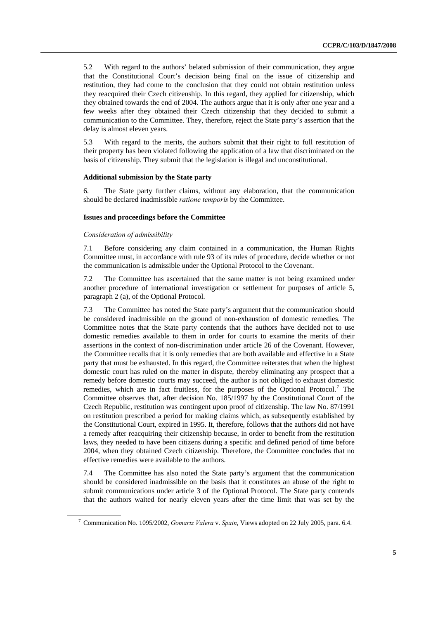5.2 With regard to the authors' belated submission of their communication, they argue that the Constitutional Court's decision being final on the issue of citizenship and restitution, they had come to the conclusion that they could not obtain restitution unless they reacquired their Czech citizenship. In this regard, they applied for citizenship, which they obtained towards the end of 2004. The authors argue that it is only after one year and a few weeks after they obtained their Czech citizenship that they decided to submit a communication to the Committee. They, therefore, reject the State party's assertion that the delay is almost eleven years.

5.3 With regard to the merits, the authors submit that their right to full restitution of their property has been violated following the application of a law that discriminated on the basis of citizenship. They submit that the legislation is illegal and unconstitutional.

#### **Additional submission by the State party**

6. The State party further claims, without any elaboration, that the communication should be declared inadmissible *ratione temporis* by the Committee.

#### **Issues and proceedings before the Committee**

#### *Consideration of admissibility*

7.1 Before considering any claim contained in a communication, the Human Rights Committee must, in accordance with rule 93 of its rules of procedure, decide whether or not the communication is admissible under the Optional Protocol to the Covenant.

7.2 The Committee has ascertained that the same matter is not being examined under another procedure of international investigation or settlement for purposes of article 5, paragraph 2 (a), of the Optional Protocol.

7.3 The Committee has noted the State party's argument that the communication should be considered inadmissible on the ground of non-exhaustion of domestic remedies. The Committee notes that the State party contends that the authors have decided not to use domestic remedies available to them in order for courts to examine the merits of their assertions in the context of non-discrimination under article 26 of the Covenant. However, the Committee recalls that it is only remedies that are both available and effective in a State party that must be exhausted. In this regard, the Committee reiterates that when the highest domestic court has ruled on the matter in dispute, thereby eliminating any prospect that a remedy before domestic courts may succeed, the author is not obliged to exhaust domestic remedies, which are in fact fruitless, for the purposes of the Optional Protocol.<sup>[7](#page-4-0)</sup> The Committee observes that, after decision No. 185/1997 by the Constitutional Court of the Czech Republic, restitution was contingent upon proof of citizenship. The law No. 87/1991 on restitution prescribed a period for making claims which, as subsequently established by the Constitutional Court, expired in 1995. It, therefore, follows that the authors did not have a remedy after reacquiring their citizenship because, in order to benefit from the restitution laws, they needed to have been citizens during a specific and defined period of time before 2004, when they obtained Czech citizenship. Therefore, the Committee concludes that no effective remedies were available to the authors.

7.4 The Committee has also noted the State party's argument that the communication should be considered inadmissible on the basis that it constitutes an abuse of the right to submit communications under article 3 of the Optional Protocol. The State party contends that the authors waited for nearly eleven years after the time limit that was set by the

<span id="page-4-0"></span><sup>7</sup> Communication No. 1095/2002, *Gomariz Valera* v. *Spain*, Views adopted on 22 July 2005, para. 6.4.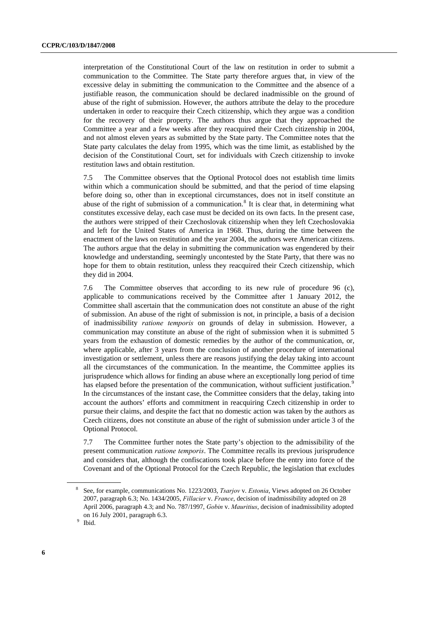interpretation of the Constitutional Court of the law on restitution in order to submit a communication to the Committee. The State party therefore argues that, in view of the excessive delay in submitting the communication to the Committee and the absence of a justifiable reason, the communication should be declared inadmissible on the ground of abuse of the right of submission. However, the authors attribute the delay to the procedure undertaken in order to reacquire their Czech citizenship, which they argue was a condition for the recovery of their property. The authors thus argue that they approached the Committee a year and a few weeks after they reacquired their Czech citizenship in 2004, and not almost eleven years as submitted by the State party. The Committee notes that the State party calculates the delay from 1995, which was the time limit, as established by the decision of the Constitutional Court, set for individuals with Czech citizenship to invoke restitution laws and obtain restitution.

7.5 The Committee observes that the Optional Protocol does not establish time limits within which a communication should be submitted, and that the period of time elapsing before doing so, other than in exceptional circumstances, does not in itself constitute an abuse of the right of submission of a communication.<sup>[8](#page-5-0)</sup> It is clear that, in determining what constitutes excessive delay, each case must be decided on its own facts. In the present case, the authors were stripped of their Czechoslovak citizenship when they left Czechoslovakia and left for the United States of America in 1968. Thus, during the time between the enactment of the laws on restitution and the year 2004, the authors were American citizens. The authors argue that the delay in submitting the communication was engendered by their knowledge and understanding, seemingly uncontested by the State Party, that there was no hope for them to obtain restitution, unless they reacquired their Czech citizenship, which they did in 2004.

7.6 The Committee observes that according to its new rule of procedure 96 (c), applicable to communications received by the Committee after 1 January 2012, the Committee shall ascertain that the communication does not constitute an abuse of the right of submission. An abuse of the right of submission is not, in principle, a basis of a decision of inadmissibility *ratione temporis* on grounds of delay in submission. However, a communication may constitute an abuse of the right of submission when it is submitted 5 years from the exhaustion of domestic remedies by the author of the communication, or, where applicable, after 3 years from the conclusion of another procedure of international investigation or settlement, unless there are reasons justifying the delay taking into account all the circumstances of the communication. In the meantime, the Committee applies its jurisprudence which allows for finding an abuse where an exceptionally long period of time has elapsed before the presentation of the communication, without sufficient justification.<sup>[9](#page-5-1)</sup> In the circumstances of the instant case, the Committee considers that the delay, taking into account the authors' efforts and commitment in reacquiring Czech citizenship in order to pursue their claims, and despite the fact that no domestic action was taken by the authors as Czech citizens, does not constitute an abuse of the right of submission under article 3 of the Optional Protocol.

7.7 The Committee further notes the State party's objection to the admissibility of the present communication *ratione temporis*. The Committee recalls its previous jurisprudence and considers that, although the confiscations took place before the entry into force of the Covenant and of the Optional Protocol for the Czech Republic, the legislation that excludes

<span id="page-5-0"></span><sup>8</sup> See, for example, communications No. 1223/2003, *Tsarjov* v. *Estonia*, Views adopted on 26 October 2007, paragraph 6.3; No. 1434/2005, *Fillacier* v. *France*, decision of inadmissibility adopted on 28 April 2006, paragraph 4.3; and No. 787/1997, *Gobin* v. *Mauritius*, decision of inadmissibility adopted on 16 July 2001, paragraph 6.3. 9

<span id="page-5-1"></span> $9$  Ibid.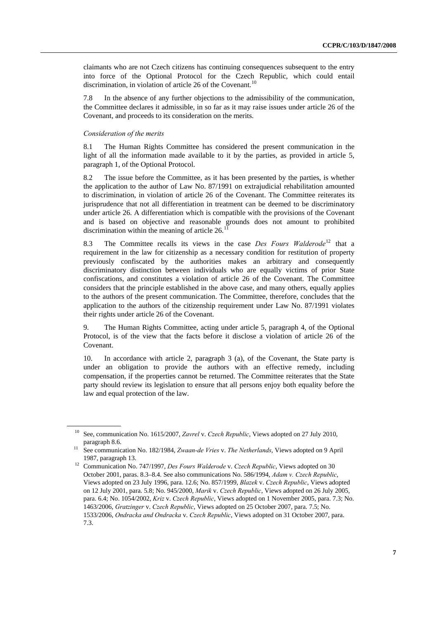claimants who are not Czech citizens has continuing consequences subsequent to the entry into force of the Optional Protocol for the Czech Republic, which could entail discrimination, in violation of article 26 of the Covenant.<sup>[10](#page-6-0)</sup>

7.8 In the absence of any further objections to the admissibility of the communication, the Committee declares it admissible, in so far as it may raise issues under article 26 of the Covenant, and proceeds to its consideration on the merits.

#### *Consideration of the merits*

8.1 The Human Rights Committee has considered the present communication in the light of all the information made available to it by the parties, as provided in article 5, paragraph 1, of the Optional Protocol.

8.2 The issue before the Committee, as it has been presented by the parties, is whether the application to the author of Law No. 87/1991 on extrajudicial rehabilitation amounted to discrimination, in violation of article 26 of the Covenant. The Committee reiterates its jurisprudence that not all differentiation in treatment can be deemed to be discriminatory under article 26. A differentiation which is compatible with the provisions of the Covenant and is based on objective and reasonable grounds does not amount to prohibited discrimination within the meaning of article  $26.1$ <sup>1</sup>

8.3 The Committee recalls its views in the case *Des Fours Walderode*<sup>[12](#page-6-2)</sup> that a requirement in the law for citizenship as a necessary condition for restitution of property previously confiscated by the authorities makes an arbitrary and consequently discriminatory distinction between individuals who are equally victims of prior State confiscations, and constitutes a violation of article 26 of the Covenant. The Committee considers that the principle established in the above case, and many others, equally applies to the authors of the present communication. The Committee, therefore, concludes that the application to the authors of the citizenship requirement under Law No. 87/1991 violates their rights under article 26 of the Covenant.

9. The Human Rights Committee, acting under article 5, paragraph 4, of the Optional Protocol, is of the view that the facts before it disclose a violation of article 26 of the Covenant.

10. In accordance with article 2, paragraph 3 (a), of the Covenant, the State party is under an obligation to provide the authors with an effective remedy, including compensation, if the properties cannot be returned. The Committee reiterates that the State party should review its legislation to ensure that all persons enjoy both equality before the law and equal protection of the law.

<span id="page-6-0"></span><sup>10</sup> See, communication No. 1615/2007, *Zavrel* v. *Czech Republic*, Views adopted on 27 July 2010, paragraph 8.6. 11 See communication No. 182/1984, *Zwaan-de Vries* v. *The Netherlands*, Views adopted on 9 April

<span id="page-6-2"></span><span id="page-6-1"></span><sup>1987,</sup> paragraph 13. 12 Communication No. 747/1997, *Des Fours Walderode* v. *Czech Republic*, Views adopted on 30 October 2001, paras. 8.3–8.4. See also communications No. 586/1994, *Adam v. Czech Republic*, Views adopted on 23 July 1996, para. 12.6; No. 857/1999, *Blazek* v. *Czech Republic*, Views adopted on 12 July 2001, para. 5.8; No. 945/2000, *Marik* v. *Czech Republic*, Views adopted on 26 July 2005, para. 6.4; No. 1054/2002, *Kriz* v. *Czech Republic*, Views adopted on 1 November 2005, para. 7.3; No. 1463/2006, *Gratzinger* v. *Czech Republic*, Views adopted on 25 October 2007, para. 7.5; No. 1533/2006, *Ondracka and Ondracka* v. *Czech Republic*, Views adopted on 31 October 2007, para. 7.3.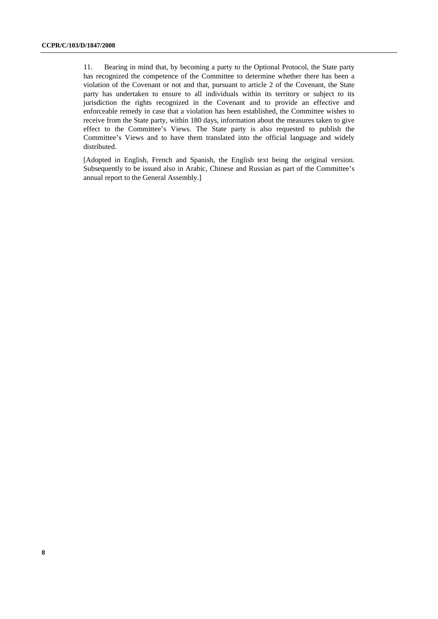11. Bearing in mind that, by becoming a party to the Optional Protocol, the State party has recognized the competence of the Committee to determine whether there has been a violation of the Covenant or not and that, pursuant to article 2 of the Covenant, the State party has undertaken to ensure to all individuals within its territory or subject to its jurisdiction the rights recognized in the Covenant and to provide an effective and enforceable remedy in case that a violation has been established, the Committee wishes to receive from the State party, within 180 days, information about the measures taken to give effect to the Committee's Views. The State party is also requested to publish the Committee's Views and to have them translated into the official language and widely distributed.

[Adopted in English, French and Spanish, the English text being the original version. Subsequently to be issued also in Arabic, Chinese and Russian as part of the Committee's annual report to the General Assembly.]